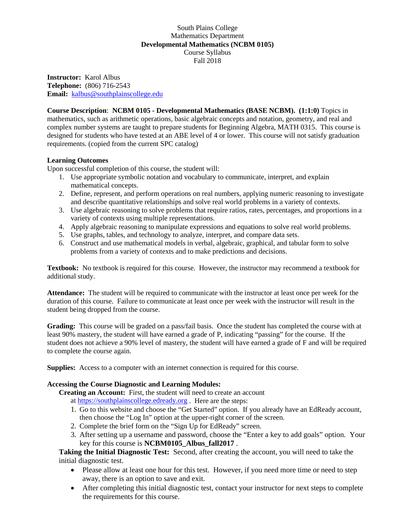## South Plains College Mathematics Department **Developmental Mathematics (NCBM 0105)** Course Syllabus Fall 2018

**Instructor:** Karol Albus **Telephone:** (806) 716-2543 **Email:** [kalbus@southplainscollege.edu](mailto:kalbus@southplainscollege.edu)

**Course Description**: **NCBM 0105 - Developmental Mathematics (BASE NCBM). (1:1:0)** Topics in mathematics, such as arithmetic operations, basic algebraic concepts and notation, geometry, and real and complex number systems are taught to prepare students for Beginning Algebra, MATH 0315. This course is designed for students who have tested at an ABE level of 4 or lower. This course will not satisfy graduation requirements. (copied from the current SPC catalog)

## **Learning Outcomes**

Upon successful completion of this course, the student will:

- 1. Use appropriate symbolic notation and vocabulary to communicate, interpret, and explain mathematical concepts.
- 2. Define, represent, and perform operations on real numbers, applying numeric reasoning to investigate and describe quantitative relationships and solve real world problems in a variety of contexts.
- 3. Use algebraic reasoning to solve problems that require ratios, rates, percentages, and proportions in a variety of contexts using multiple representations.
- 4. Apply algebraic reasoning to manipulate expressions and equations to solve real world problems.
- 5. Use graphs, tables, and technology to analyze, interpret, and compare data sets.
- 6. Construct and use mathematical models in verbal, algebraic, graphical, and tabular form to solve problems from a variety of contexts and to make predictions and decisions.

**Textbook:** No textbook is required for this course. However, the instructor may recommend a textbook for additional study.

**Attendance:** The student will be required to communicate with the instructor at least once per week for the duration of this course. Failure to communicate at least once per week with the instructor will result in the student being dropped from the course.

**Grading:** This course will be graded on a pass/fail basis. Once the student has completed the course with at least 90% mastery, the student will have earned a grade of P, indicating "passing" for the course. If the student does not achieve a 90% level of mastery, the student will have earned a grade of F and will be required to complete the course again.

**Supplies:** Access to a computer with an internet connection is required for this course.

## **Accessing the Course Diagnostic and Learning Modules:**

**Creating an Account:** First, the student will need to create an account

at [https://southplainscollege.edready.org](https://southplainscollege.edready.org/) . Here are the steps:

- 1. Go to this website and choose the "Get Started" option. If you already have an EdReady account, then choose the "Log In" option at the upper-right corner of the screen.
- 2. Complete the brief form on the "Sign Up for EdReady" screen.
- 3. After setting up a username and password, choose the "Enter a key to add goals" option. Your key for this course is **NCBM0105\_Albus\_fall2017** .

**Taking the Initial Diagnostic Test:** Second, after creating the account, you will need to take the initial diagnostic test.

- Please allow at least one hour for this test. However, if you need more time or need to step away, there is an option to save and exit.
- After completing this initial diagnostic test, contact your instructor for next steps to complete the requirements for this course.